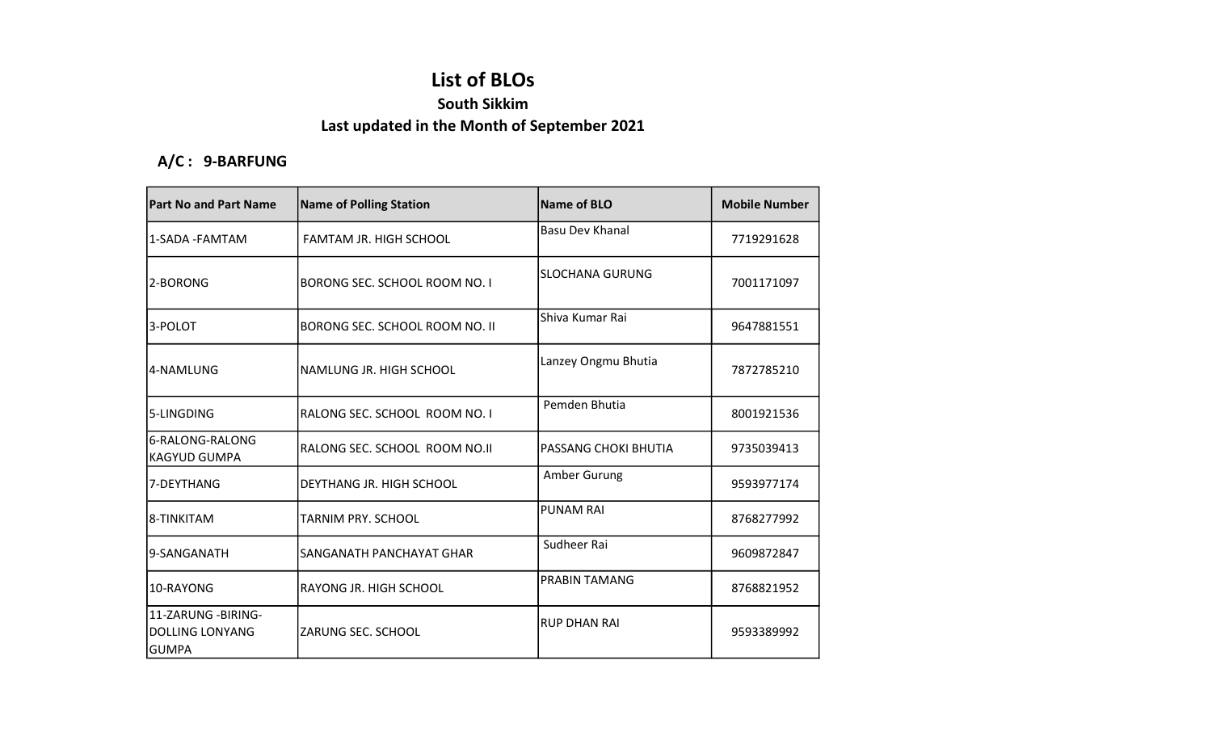## List of BLOs

## South Sikkim

## Last updated in the Month of September 2021

## A/C : 9-BARFUNG

| <b>Part No and Part Name</b>                                  | <b>Name of Polling Station</b> | Name of BLO            | <b>Mobile Number</b> |
|---------------------------------------------------------------|--------------------------------|------------------------|----------------------|
| 1-SADA -FAMTAM                                                | FAMTAM JR. HIGH SCHOOL         | <b>Basu Dev Khanal</b> | 7719291628           |
| 2-BORONG                                                      | BORONG SEC. SCHOOL ROOM NO. I  | <b>SLOCHANA GURUNG</b> | 7001171097           |
| 3-POLOT                                                       | BORONG SEC. SCHOOL ROOM NO. II | Shiva Kumar Rai        | 9647881551           |
| 4-NAMLUNG                                                     | NAMLUNG JR. HIGH SCHOOL        | Lanzey Ongmu Bhutia    | 7872785210           |
| 5-LINGDING                                                    | RALONG SEC. SCHOOL ROOM NO. I  | Pemden Bhutia          | 8001921536           |
| 6-RALONG-RALONG<br><b>KAGYUD GUMPA</b>                        | RALONG SEC. SCHOOL ROOM NO.II  | PASSANG CHOKI BHUTIA   | 9735039413           |
| 7-DEYTHANG                                                    | DEYTHANG JR. HIGH SCHOOL       | Amber Gurung           | 9593977174           |
| 8-TINKITAM                                                    | TARNIM PRY. SCHOOL             | <b>PUNAM RAI</b>       | 8768277992           |
| l9-SANGANATH                                                  | ISANGANATH PANCHAYAT GHAR      | Sudheer Rai            | 9609872847           |
| 10-RAYONG                                                     | IRAYONG JR. HIGH SCHOOL        | PRABIN TAMANG          | 8768821952           |
| 11-ZARUNG - BIRING-<br><b>DOLLING LONYANG</b><br><b>GUMPA</b> | ZARUNG SEC. SCHOOL             | <b>RUP DHAN RAI</b>    | 9593389992           |